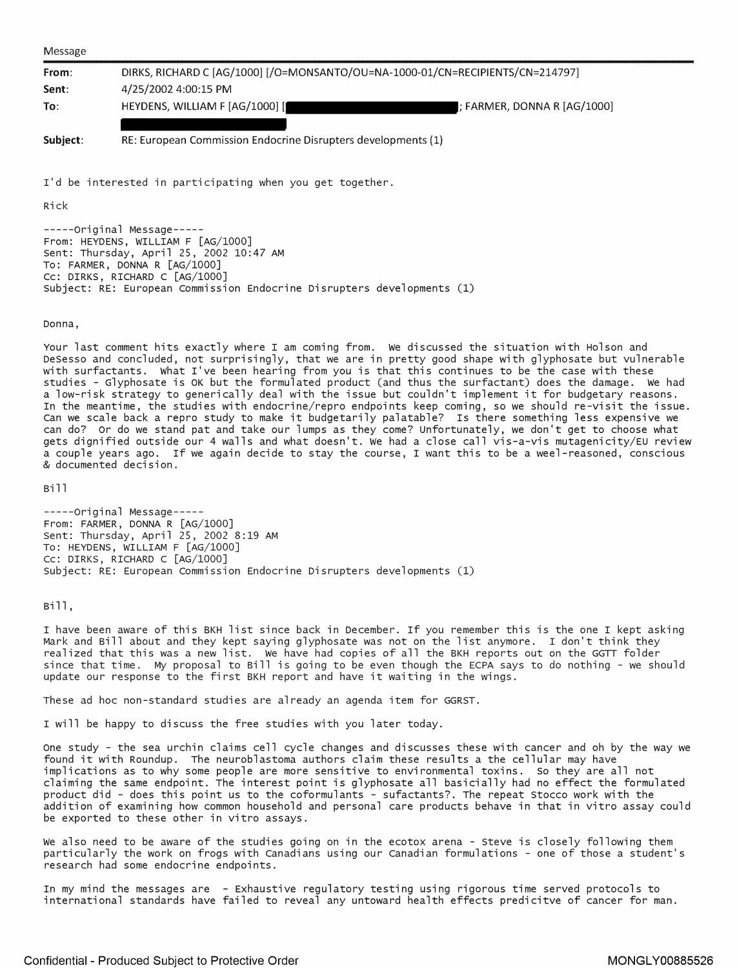Message

| From:    | DIRKS, RICHARD C [AG/1000] [/O=MONSANTO/OU=NA-1000-01/CN=RECIPIENTS/CN=214797] |                              |
|----------|--------------------------------------------------------------------------------|------------------------------|
| Sent:    | 4/25/2002 4:00:15 PM                                                           |                              |
| To:      | HEYDENS, WILLIAM F [AG/1000] [                                                 | I: FARMER, DONNA R [AG/1000] |
|          |                                                                                |                              |
| Subject: | RE: European Commission Endocrine Disrupters developments (1)                  |                              |

I'd be interested in participating when you get together.

Rick

-----original Message----- From: HEYDENS, WILLIAM F [AG/1000] sent: Thursday, April 25, 2002 10:47 AM To: FARMER, DONNA R [AG/1000] Cc: DIRKS, RICHARD C [AG/1000] subject: RE: European commission Endocrine Disrupters developments (1)

## Donna,

Your last comment hits exactly where I am coming from. we discussed the situation with Helson and DeSesso and concluded, not surprisingly, that we are in pretty good shape with glyphosate but vulnerable with surfactants. what I've been hearing from you is that this continues to be the case with these studies - Glyphosate is OK but the formulated product (and thus the surfactant) does the damage. we had a low-risk strategy to generically deal with the issue but couldn't implement it for budgetary reasons. In the meantime, the studies with endocrine/repro endpoints keep coming, so we should re-visit the issue. can we scale back a repro study to make it budgetarily palatable? Is there something less expensive we can do? or do we stand pat and take our lumps as they come? unfortunately, we don't get to choose what gets dignified outside our 4 walls and what doesn't. we had a close call vis-a-vis mutagenicity/EU review a couple years ago. If we again decide to stay the course, I want this to be a weel-reasoned, conscious & documented decision.

Bill

-----original Message----- From: FARMER, DONNA R [AG/1000] Sent: Thursday, April 25, 2002 8:19 AM To: HEYDENS, WILLIAM F [AG/1000] Cc: DIRKS, RICHARD C [AG/1000] subject: RE: European commission Endocrine Disrupters developments (1)

Bill,

I have been aware of this BKH list since back in December. If you remember this is the one I kept asking Mark and Bill about and they kept saying glyphosate was not on the list anymore. I don't think they realized that this was a new list. we have had copies of all the BKH reports out on the GGTT folder since that time. My proposal to Bill is going to be *even* though the ECPA says to do nothing - we should update our response to the first BKH report and have it waiting in the wings.

These ad hoc non-standard studies are already an agenda item for GGRST.

I will be happy to discuss the free studies with you later today.

One study - the sea urchin claims cell cycle changes and discusses these with cancer and oh by the way we found it with Roundup. The neuroblastoma authors claim these results a the cellular may have implications as to why some people are more sensitive to environmental toxins. so they are all not claiming the same endpoint. The interest point is glyphosate all basicially had no effect the formulated product did - does this point us to the coformulants - sufactants?. The repeat Stocco work with the addition of examining how common household and personal care products behave in that in vitro assay could be exported to these other in vitro assays.

we also need to be aware of the studies going on in the ecotox arena - *Steve* is closely following them particularly the work on frogs with Canadians using our Canadian formulations - one of those a student's research had some endocrine endpoints.

In my mind the messages are - Exhaustive regulatory testing using rigorous time served protocols to international standards have failed to reveal any untoward health effects predicitve of cancer for man.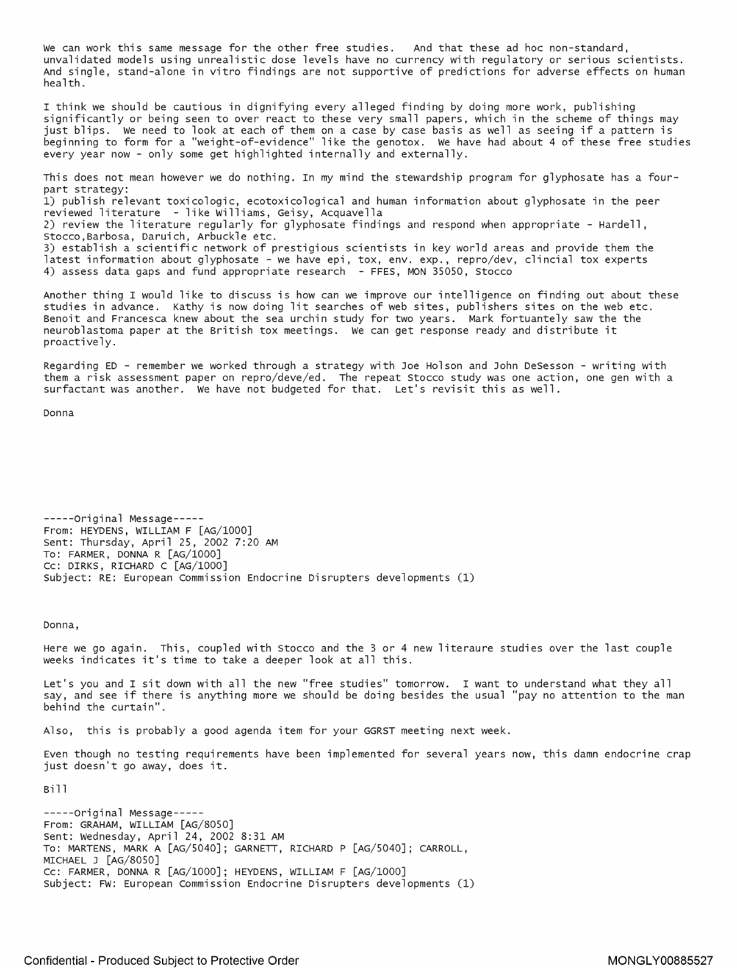We can work this same message for the other free studies. And that these ad hoc non-standard, unvalidated models using unrealistic dose levels have no currency with regulatory or serious scientists. And single, stand-alone in vitro findings are not supportive of predictions for adverse effects on human health.

I think we should be cautious in dignifying every alleged finding by doing more work, publishing significantly or being seen to over react to these very small papers, which in the scheme of things may just blips. We need to look at each of them on a case by case basis as well as seeing if a pattern is beginning to form for a "weight-of-evidence" like the genotox. We have had about 4 of these free studies every year now - only some get highlighted internally and externally.

This does not mean however we do nothing. In my mind the stewardship program for glyphosate has a fourpart strategy:  $1)$  publish relevant toxicologic, ecotoxicological and human information about glyphosate in the peer reviewed literature - like Williams, Geisy, Acquavella 2) review the literature regularly for glyphosate findings and respond when appropriate - Hardell, Stocco,Barbosa, Daruich, Arbuckle etc. 3) establish a scientific network of prestigious scientists in key world areas and provide them the latest information about glyphosate - we have epi, tox, *env.* exp., repro/dev, clincial tox experts 4) assess data gaps and fund appropriate research - FFES, MON 35050, Stocco

Another thing I would like to discuss is how can we improve our intelligence on finding out about these studies in advance. Kathy is now doing lit searches of web sites, publishers sites on the web etc. Benoit and Francesca knew about the sea urchin study for two years. Mark fortuantely saw the the neuroblastoma paper at the British tox meetings. We can get response ready and distribute it proactively.

Regarding ED - remember we worked through a strategy with Joe Holson and John DeSesson - writing with them a risk assessment paper on repro/deve/ed. The repeat Stocco study was one action, one gen with a surfactant was another. We have not budgeted for that. Let's revisit this as well.

Donna

-----original Message----- From: HEYDENS, WILLIAM F [AG/1000] Sent: Thursday, April 25, 2002 7:20 AM To: FARMER, DONNA R [AG/1000] Cc: DIRKS, RICHARD C [AG/1000] subject: RE: European Commission Endocrine Disrupters developments (1)

Donna,

Here we go again. This, coupled with Stocco and the 3 or 4 new literaure studies over the last couple weeks indicates it's time to take a deeper look at all this.

Let's you and I sit down with all the new "free studies" tomorrow. I want to understand what they all say, and see if there is anything more we should be doing besides the usual "pay no attention to the man behind the curtain".

Also, this is probably a good agenda item for your GGRST meeting next week.

Even though no testing requirements have been implemented for several years now, this damn endocrine crap just doesn't go away, does it.

Bill

-----original Message----- From: GRAHAM, WILLIAM [AG/8050] Sent: Wednesday, April 24, 2002 8:31 AM To: MARTENS, MARK A [AG/5040]; GARNETT, RICHARD P [AG/5040]; CARROLL, MICHAEL J [AG/8050] Cc: FARMER, DONNA R [AG/1000]; HEYDENS, WILLIAM F [AG/1000] subject: FW: European Commission Endocrine Disrupters developments (1)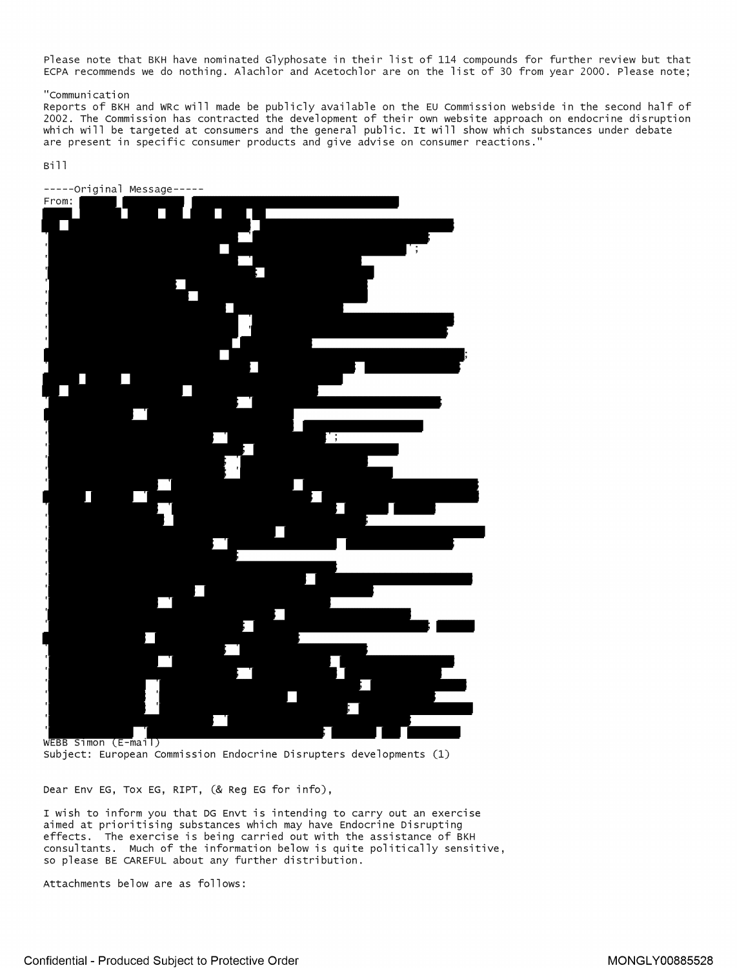Please note that BKH have nominated [Glyphosate](https://www.baumhedlundlaw.com/toxic-tort-law/monsanto-roundup-lawsuit/) in their list of 114 compounds for further review but that ECPA recommends we do nothing. Alachlor and Acetochlor are on the list of 30 from year 2000. Please note;

## "communication

Reports of BKH and WRc will made be publicly available on the EU commission webside in the second half of 2002. The commission has contracted the development of their own website approach on endocrine disruption which will be targeted at consumers and the general public. It will show which substances under debate are present in specific consumer products and give advise on consumer reactions."

## Bill



wEBB Simon (E-mail)<br>Subject: European Commission Endocrine Disrupters developments (1)

Dear Env EG, Tox EG, RIPT, (& Reg EG for info),

I wish to inform you that DG Envt is intending to carry out an exercise aimed at prioritising substances which may have Endocrine Disrupting effects. The exercise is being carried out with the assistance of BKH consultants. Much of the information below is quite politically sensitive, so please BE CAREFUL about any further distribution.

Attachments below are as follows: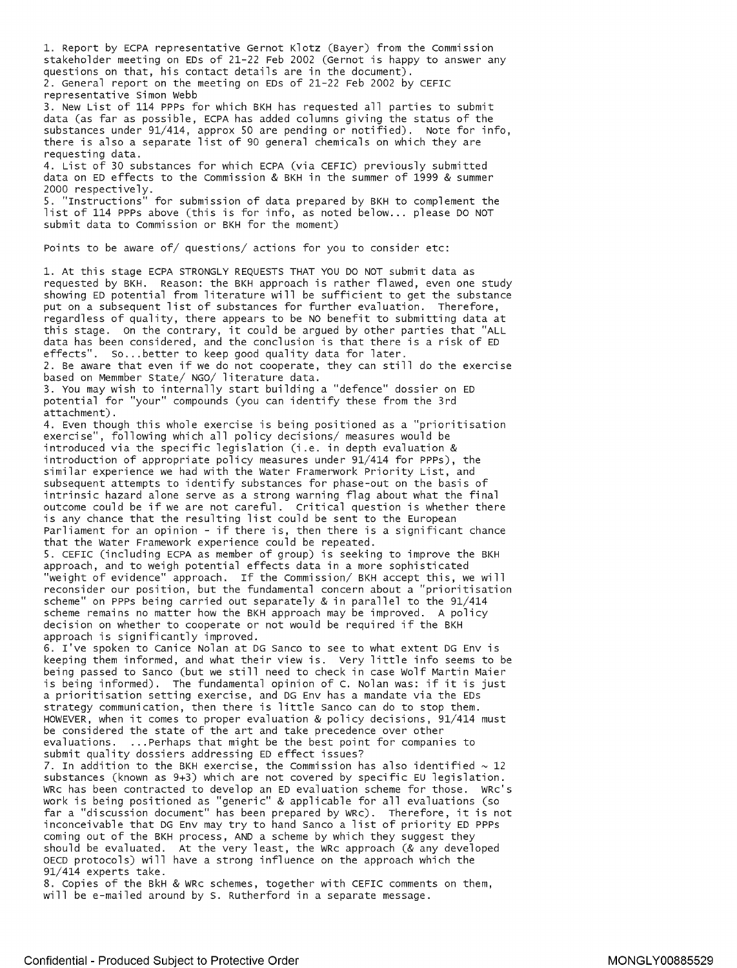1. Report by ECPA representative Gernot Klotz (Bayer) from the Commission stakeholder meeting on EDs of 21-22 Feb 2002 (Gernot is happy to answer any questions on that, his contact details are in the document). 2. General report on the meeting on EDs of 21-22 Feb 2002 by CEFIC representative Simon Webb

3. New List of 114 PPPs for which BKH has requested all parties to submit data (as far as possible, ECPA has added columns giving the status of the substances under 91/414, approx SO are pending or notified). Note for info, there is also a separate list of 90 general chemicals on which they are requesting data.

4. List of 30 substances for which ECPA (via CEFIC) previously submitted data on ED effects to the Commission & BKH in the summer of 1999 & summer 2000 respectively.

5. "Instructions" for submission of data prepared by BKH to complement the list of 114 PPPs above (this is for info, as noted below... please DO NOT submit data to Commission or BKH for the moment)

Points to be aware of/ questions/ actions for you to consider etc:

1. At this stage ECPA STRONGLY REQUESTS THAT YOU DO NOT submit data as requested by BKH. Reason: the BKH approach is rather flawed, even one study showing ED potential from literature will be sufficient to get the substance put on a subsequent list of substances for further evaluation. Therefore, regardless of quality, there appears to be NO benefit to submitting data at this stage. on the contrary, it could be argued by other parties that "ALL data has been considered, and the conclusion is that there is a risk of ED effects". So... better to keep good quality data for later.

2. Be aware that even if we do not cooperate, they can still do the exercise based on Memmber State/ NGO/ literature data.

3. You may wish to internally start building a "defence" dossier on ED potential for "your" compounds (you can identify these from the 3rd attachment).

4. Even though this whole exercise is being positioned as a "prioritisation exercise", following which all policy decisions/ measures would be introduced via the specific legislation (i.e. in depth evaluation & introduction of appropriate policy measures under 91/414 for PPPs), the similar experience we had with the Water Framerwork Priority List, and subsequent attempts to identify substances for phase-out on the basis of intrinsic hazard alone serve as a strong warning flag about what the final outcome could be if we are not careful. Critical question is whether there is any chance that the resulting list could be sent to the European Parliament for an opinion - if there is, then there is a significant chance that the Water Framework experience could be repeated. 5. CEFIC (including ECPA as member of group) is seeking to improve the BKH approach, and to weigh potential effects data in a more sophisticated

"weight of evidence" approach. If the Commission/ BKH accept this, we will reconsider our position, but the fundamental concern about a "prioritisation scheme" on PPPs being carried out separately & in parallel to the 91/414 scheme remains no matter how the BKH approach may be improved. A policy decision on whether to cooperate or not would be required if the BKH approach is significantly improved.

6. I've spoken to canice Nolan at DG Sanco to see to what extent DG Env is keeping them informed, and what their view is. Very little info seems to be being passed to Sanco (but we still need to check in case Wolf Martin Maier is being informed). The fundamental opinion of c. Nolan was: if it is just a prioritisation setting exercise, and DG Env has a mandate via the EDs strategy communication, then there is little Sanco can do to stop them. HOWEVER, when it comes to proper evaluation & policy decisions, 91/414 must be considered the state of the art and take precedence over other evaluations. ... Perhaps that might be the best point for companies to submit quality dossiers addressing ED effect issues?

7. In addition to the BKH exercise, the Commission has also identified  $\sim$  12 substances (known as 9+3) which are not covered by specific EU legislation. WRc has been contracted to develop an ED evaluation scheme for those. WRc's work is being positioned as "generic" & applicable for all evaluations (so far a "discussion document" has been prepared by WRc). Therefore, it is not inconceivable that DG Env may try to hand Sanco a list of priority ED PPPs coming out of the BKH process, AND a scheme by which they suggest they should be evaluated. At the very least, the WRc approach (& any developed OECD protocols) will have a strong influence on the approach which the 91/414 experts take.

8. Copies of the BkH & WRc schemes, together with CEFIC comments on them, will be e-mailed around by S. Rutherford in a separate message.